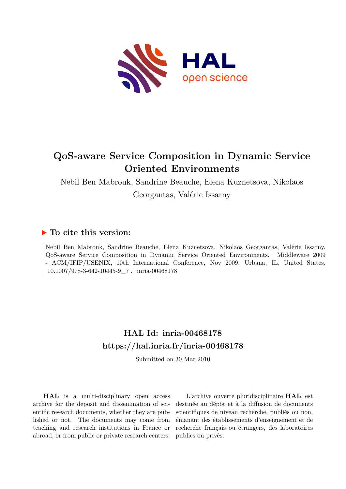

# **QoS-aware Service Composition in Dynamic Service Oriented Environments**

Nebil Ben Mabrouk, Sandrine Beauche, Elena Kuznetsova, Nikolaos Georgantas, Valérie Issarny

## **To cite this version:**

Nebil Ben Mabrouk, Sandrine Beauche, Elena Kuznetsova, Nikolaos Georgantas, Valérie Issarny. QoS-aware Service Composition in Dynamic Service Oriented Environments. Middleware 2009 - ACM/IFIP/USENIX, 10th International Conference, Nov 2009, Urbana, IL, United States.  $10.1007/978-3-642-10445-9\_7$ . inria-00468178

# **HAL Id: inria-00468178 <https://hal.inria.fr/inria-00468178>**

Submitted on 30 Mar 2010

**HAL** is a multi-disciplinary open access archive for the deposit and dissemination of scientific research documents, whether they are published or not. The documents may come from teaching and research institutions in France or abroad, or from public or private research centers.

L'archive ouverte pluridisciplinaire **HAL**, est destinée au dépôt et à la diffusion de documents scientifiques de niveau recherche, publiés ou non, émanant des établissements d'enseignement et de recherche français ou étrangers, des laboratoires publics ou privés.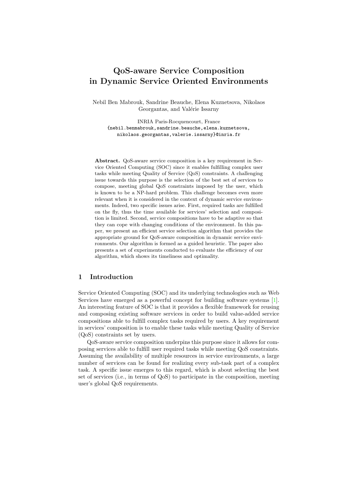## QoS-aware Service Composition in Dynamic Service Oriented Environments

Nebil Ben Mabrouk, Sandrine Beauche, Elena Kuznetsova, Nikolaos Georgantas, and Valérie Issarny

INRIA Paris-Rocquencourt, France {nebil.benmabrouk,sandrine.beauche,elena.kuznetsova, nikolaos.georgantas,valerie.issarny}@inria.fr

Abstract. QoS-aware service composition is a key requirement in Service Oriented Computing (SOC) since it enables fulfilling complex user tasks while meeting Quality of Service (QoS) constraints. A challenging issue towards this purpose is the selection of the best set of services to compose, meeting global QoS constraints imposed by the user, which is known to be a NP-hard problem. This challenge becomes even more relevant when it is considered in the context of dynamic service environments. Indeed, two specific issues arise. First, required tasks are fulfilled on the fly, thus the time available for services' selection and composition is limited. Second, service compositions have to be adaptive so that they can cope with changing conditions of the environment. In this paper, we present an efficient service selection algorithm that provides the appropriate ground for QoS-aware composition in dynamic service environments. Our algorithm is formed as a guided heuristic. The paper also presents a set of experiments conducted to evaluate the efficiency of our algorithm, which shows its timeliness and optimality.

## 1 Introduction

Service Oriented Computing (SOC) and its underlying technologies such as Web Services have emerged as a powerful concept for building software systems [1]. An interesting feature of SOC is that it provides a flexible framework for reusing and composing existing software services in order to build value-added service compositions able to fulfill complex tasks required by users. A key requirement in services' composition is to enable these tasks while meeting Quality of Service (QoS) constraints set by users.

QoS-aware service composition underpins this purpose since it allows for composing services able to fulfill user required tasks while meeting QoS constraints. Assuming the availability of multiple resources in service environments, a large number of services can be found for realizing every sub-task part of a complex task. A specific issue emerges to this regard, which is about selecting the best set of services (i.e., in terms of QoS) to participate in the composition, meeting user's global QoS requirements.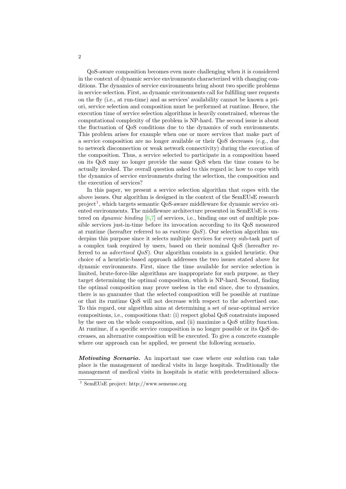QoS-aware composition becomes even more challenging when it is considered in the context of dynamic service environments characterized with changing conditions. The dynamics of service environments bring about two specific problems in service selection. First, as dynamic environments call for fulfilling user requests on the fly (i.e., at run-time) and as services' availability cannot be known a priori, service selection and composition must be performed at runtime. Hence, the execution time of service selection algorithms is heavily constrained, whereas the computational complexity of the problem is NP-hard. The second issue is about the fluctuation of QoS conditions due to the dynamics of such environments. This problem arises for example when one or more services that make part of a service composition are no longer available or their QoS decreases (e.g., due to network disconnection or weak network connectivity) during the execution of the composition. Thus, a service selected to participate in a composition based on its QoS may no longer provide the same QoS when the time comes to be actually invoked. The overall question asked to this regard is: how to cope with the dynamics of service environments during the selection, the composition and the execution of services?

In this paper, we present a service selection algorithm that copes with the above issues. Our algorithm is designed in the context of the SemEUsE research project<sup>1</sup>, which targets semantic QoS-aware middleware for dynamic service oriented environments. The middleware architecture presented in SemEUsE is centered on *dynamic binding*  $[6,7]$  of services, i.e., binding one out of multiple possible services just-in-time before its invocation according to its QoS measured at runtime (hereafter referred to as *runtime*  $QoS$ *)*. Our selection algorithm underpins this purpose since it selects multiple services for every sub-task part of a complex task required by users, based on their nominal QoS (hereafter referred to as *advertised*  $\Omega$ *oS*). Our algorithm consists in a guided heuristic. Our choice of a heuristic-based approach addresses the two issues stated above for dynamic environments. First, since the time available for service selection is limited, brute-force-like algorithms are inappropriate for such purpose, as they target determining the optimal composition, which is NP-hard. Second, finding the optimal composition may prove useless in the end since, due to dynamics, there is no guarantee that the selected composition will be possible at runtime or that its runtime QoS will not decrease with respect to the advertised one. To this regard, our algorithm aims at determining a set of near-optimal service compositions, i.e., compositions that: (i) respect global QoS constraints imposed by the user on the whole composition, and (ii) maximize a QoS utility function. At runtime, if a specific service composition is no longer possible or its QoS decreases, an alternative composition will be executed. To give a concrete example where our approach can be applied, we present the following scenario.

Motivating Scenario. An important use case where our solution can take place is the management of medical visits in large hospitals. Traditionally the management of medical visits in hospitals is static with predetermined alloca-

<sup>1</sup> SemEUsE project: http://www.semeuse.org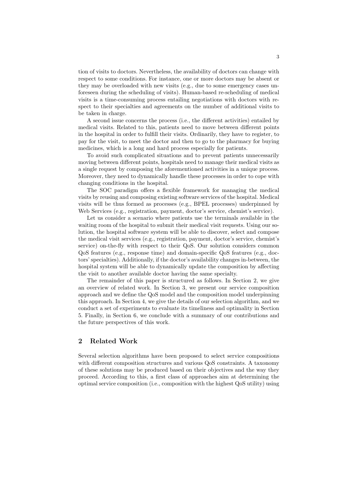tion of visits to doctors. Nevertheless, the availability of doctors can change with respect to some conditions. For instance, one or more doctors may be absent or they may be overloaded with new visits (e.g., due to some emergency cases unforeseen during the scheduling of visits). Human-based re-scheduling of medical visits is a time-consuming process entailing negotiations with doctors with respect to their specialties and agreements on the number of additional visits to be taken in charge.

A second issue concerns the process (i.e., the different activities) entailed by medical visits. Related to this, patients need to move between different points in the hospital in order to fulfill their visits. Ordinarily, they have to register, to pay for the visit, to meet the doctor and then to go to the pharmacy for buying medicines, which is a long and hard process especially for patients.

To avoid such complicated situations and to prevent patients unnecessarily moving between different points, hospitals need to manage their medical visits as a single request by composing the aforementioned activities in a unique process. Moreover, they need to dynamically handle these processes in order to cope with changing conditions in the hospital.

The SOC paradigm offers a flexible framework for managing the medical visits by reusing and composing existing software services of the hospital. Medical visits will be thus formed as processes (e.g., BPEL processes) underpinned by Web Services (e.g., registration, payment, doctor's service, chemist's service).

Let us consider a scenario where patients use the terminals available in the waiting room of the hospital to submit their medical visit requests. Using our solution, the hospital software system will be able to discover, select and compose the medical visit services (e.g., registration, payment, doctor's service, chemist's service) on-the-fly with respect to their QoS. Our solution considers common QoS features (e.g., response time) and domain-specific QoS features (e.g., doctors' specialties). Additionally, if the doctor's availability changes in-between, the hospital system will be able to dynamically update the composition by affecting the visit to another available doctor having the same specialty.

The remainder of this paper is structured as follows. In Section 2, we give an overview of related work. In Section 3, we present our service composition approach and we define the QoS model and the composition model underpinning this approach. In Section 4, we give the details of our selection algorithm, and we conduct a set of experiments to evaluate its timeliness and optimality in Section 5. Finally, in Section 6, we conclude with a summary of our contributions and the future perspectives of this work.

## 2 Related Work

Several selection algorithms have been proposed to select service compositions with different composition structures and various QoS constraints. A taxonomy of these solutions may be produced based on their objectives and the way they proceed. According to this, a first class of approaches aim at determining the optimal service composition (i.e., composition with the highest QoS utility) using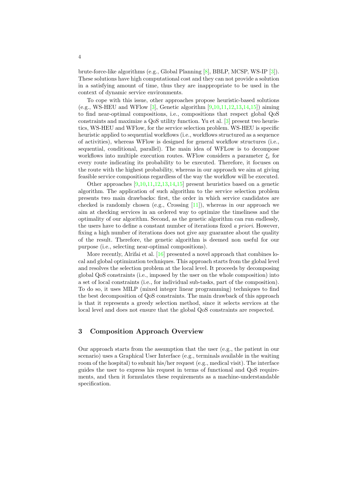brute-force-like algorithms (e.g., Global Planning [8], BBLP, MCSP, WS-IP [3]). These solutions have high computational cost and they can not provide a solution in a satisfying amount of time, thus they are inappropriate to be used in the context of dynamic service environments.

To cope with this issue, other approaches propose heuristic-based solutions (e.g., WS-HEU and WFlow  $[3]$ , Genetic algorithm  $[9,10,11,12,13,14,15]$ ) aiming to find near-optimal compositions, i.e., compositions that respect global QoS constraints and maximize a QoS utility function. Yu et al. [3] present two heuristics, WS-HEU and WFlow, for the service selection problem. WS-HEU is specific heuristic applied to sequential workflows (i.e., workflows structured as a sequence of activities), whereas WFlow is designed for general workflow structures (i.e., sequential, conditional, parallel). The main idea of WFLow is to decompose workflows into multiple execution routes. WFlow considers a parameter  $\xi_i$  for every route indicating its probability to be executed. Therefore, it focuses on the route with the highest probability, whereas in our approach we aim at giving feasible service compositions regardless of the way the workflow will be executed.

Other approaches [9,10,11,12,13,14,15] present heuristics based on a genetic algorithm. The application of such algorithm to the service selection problem presents two main drawbacks: first, the order in which service candidates are checked is randomly chosen (e.g., Crossing  $[11]$ ), whereas in our approach we aim at checking services in an ordered way to optimize the timeliness and the optimality of our algorithm. Second, as the genetic algorithm can run endlessly, the users have to define a constant number of iterations fixed a priori. However, fixing a high number of iterations does not give any guarantee about the quality of the result. Therefore, the genetic algorithm is deemed non useful for our purpose (i.e., selecting near-optimal compositions).

More recently, Alrifai et al. [16] presented a novel approach that combines local and global optimization techniques. This approach starts from the global level and resolves the selection problem at the local level. It proceeds by decomposing global QoS constraints (i.e., imposed by the user on the whole composition) into a set of local constraints (i.e., for individual sub-tasks, part of the composition). To do so, it uses MILP (mixed integer linear programming) techniques to find the best decomposition of QoS constraints. The main drawback of this approach is that it represents a greedy selection method, since it selects services at the local level and does not ensure that the global QoS constraints are respected.

### 3 Composition Approach Overview

Our approach starts from the assumption that the user (e.g., the patient in our scenario) uses a Graphical User Interface (e.g., terminals available in the waiting room of the hospital) to submit his/her request (e.g., medical visit). The interface guides the user to express his request in terms of functional and QoS requirements, and then it formulates these requirements as a machine-understandable specification.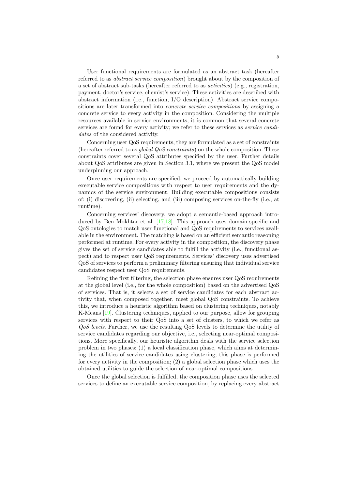User functional requirements are formulated as an abstract task (hereafter referred to as abstract service composition) brought about by the composition of a set of abstract sub-tasks (hereafter referred to as activities) (e.g., registration, payment, doctor's service, chemist's service). These activities are described with abstract information (i.e., function, I/O description). Abstract service compositions are later transformed into *concrete service compositions* by assigning a concrete service to every activity in the composition. Considering the multiple resources available in service environments, it is common that several concrete services are found for every activity; we refer to these services as *service candi*dates of the considered activity.

Concerning user QoS requirements, they are formulated as a set of constraints (hereafter referred to as global QoS constraints) on the whole composition. These constraints cover several QoS attributes specified by the user. Further details about QoS attributes are given in Section 3.1, where we present the QoS model underpinning our approach.

Once user requirements are specified, we proceed by automatically building executable service compositions with respect to user requirements and the dynamics of the service environment. Building executable compositions consists of: (i) discovering, (ii) selecting, and (iii) composing services on-the-fly (i.e., at runtime).

Concerning services' discovery, we adopt a semantic-based approach introduced by Ben Mokhtar et al. [17,18]. This approach uses domain-specific and QoS ontologies to match user functional and QoS requirements to services available in the environment. The matching is based on an efficient semantic reasoning performed at runtime. For every activity in the composition, the discovery phase gives the set of service candidates able to fulfill the activity (i.e., functional aspect) and to respect user QoS requirements. Services' discovery uses advertised QoS of services to perform a preliminary filtering ensuring that individual service candidates respect user QoS requirements.

Refining the first filtering, the selection phase ensures user QoS requirements at the global level (i.e., for the whole composition) based on the advertised QoS of services. That is, it selects a set of service candidates for each abstract activity that, when composed together, meet global QoS constraints. To achieve this, we introduce a heuristic algorithm based on clustering techniques, notably K-Means [19]. Clustering techniques, applied to our purpose, allow for grouping services with respect to their QoS into a set of clusters, to which we refer as QoS levels. Further, we use the resulting QoS levels to determine the utility of service candidates regarding our objective, i.e., selecting near-optimal compositions. More specifically, our heuristic algorithm deals with the service selection problem in two phases: (1) a local classification phase, which aims at determining the utilities of service candidates using clustering; this phase is performed for every activity in the composition; (2) a global selection phase which uses the obtained utilities to guide the selection of near-optimal compositions.

Once the global selection is fulfilled, the composition phase uses the selected services to define an executable service composition, by replacing every abstract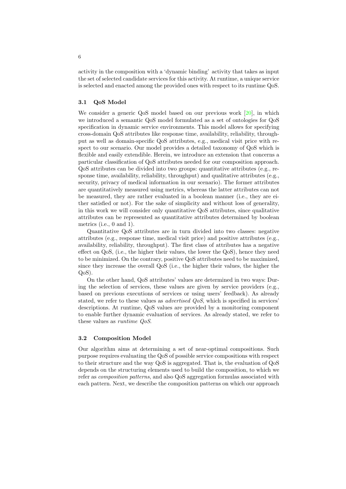activity in the composition with a 'dynamic binding' activity that takes as input the set of selected candidate services for this activity. At runtime, a unique service is selected and enacted among the provided ones with respect to its runtime QoS.

#### 3.1 QoS Model

We consider a generic QoS model based on our previous work [20], in which we introduced a semantic QoS model formulated as a set of ontologies for QoS specification in dynamic service environments. This model allows for specifying cross-domain QoS attributes like response time, availability, reliability, throughput as well as domain-specific QoS attributes, e.g., medical visit price with respect to our scenario. Our model provides a detailed taxonomy of QoS which is flexible and easily extendible. Herein, we introduce an extension that concerns a particular classification of QoS attributes needed for our composition approach. QoS attributes can be divided into two groups: quantitative attributes (e.g., response time, availability, reliability, throughput) and qualitative attributes (e.g., security, privacy of medical information in our scenario). The former attributes are quantitatively measured using metrics, whereas the latter attributes can not be measured, they are rather evaluated in a boolean manner (i.e., they are either satisfied or not). For the sake of simplicity and without loss of generality, in this work we will consider only quantitative QoS attributes, since qualitative attributes can be represented as quantitative attributes determined by boolean metrics (i.e., 0 and 1).

Quantitative QoS attributes are in turn divided into two classes: negative attributes (e.g., response time, medical visit price) and positive attributes (e.g., availability, reliability, throughput). The first class of attributes has a negative effect on QoS, (i.e., the higher their values, the lower the QoS), hence they need to be minimized. On the contrary, positive QoS attributes need to be maximized, since they increase the overall QoS (i.e., the higher their values, the higher the QoS).

On the other hand, QoS attributes' values are determined in two ways: During the selection of services, these values are given by service providers (e.g., based on previous executions of services or using users' feedback). As already stated, we refer to these values as *advertised QoS*, which is specified in services' descriptions. At runtime, QoS values are provided by a monitoring component to enable further dynamic evaluation of services. As already stated, we refer to these values as runtime QoS.

#### 3.2 Composition Model

Our algorithm aims at determining a set of near-optimal compositions. Such purpose requires evaluating the QoS of possible service compositions with respect to their structure and the way QoS is aggregated. That is, the evaluation of QoS depends on the structuring elements used to build the composition, to which we refer as composition patterns, and also QoS aggregation formulas associated with each pattern. Next, we describe the composition patterns on which our approach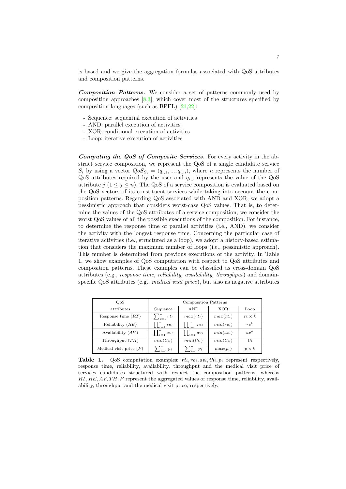is based and we give the aggregation formulas associated with QoS attributes and composition patterns.

Composition Patterns. We consider a set of patterns commonly used by composition approaches [8,3], which cover most of the structures specified by composition languages (such as BPEL) [21,22]:

- Sequence: sequential execution of activities
- AND: parallel execution of activities
- XOR: conditional execution of activities
- Loop: iterative execution of activities

Computing the QoS of Composite Services. For every activity in the abstract service composition, we represent the QoS of a single candidate service  $S_i$  by using a vector  $QoS_{S_i} = \langle q_{i,1}, ..., q_{i,n} \rangle$ , where n represents the number of QoS attributes required by the user and  $q_{i,j}$  represents the value of the QoS attribute  $j$  ( $1 \le j \le n$ ). The QoS of a service composition is evaluated based on the QoS vectors of its constituent services while taking into account the composition patterns. Regarding QoS associated with AND and XOR, we adopt a pessimistic approach that considers worst-case QoS values. That is, to determine the values of the QoS attributes of a service composition, we consider the worst QoS values of all the possible executions of the composition. For instance, to determine the response time of parallel activities (i.e., AND), we consider the activity with the longest response time. Concerning the particular case of iterative activities (i.e., structured as a loop), we adopt a history-based estimation that considers the maximum number of loops (i.e., pessimistic approach). This number is determined from previous executions of the activity. In Table 1, we show examples of QoS computation with respect to QoS attributes and composition patterns. These examples can be classified as cross-domain QoS attributes (e.g., response time, reliability, availability, throughput) and domainspecific QoS attributes (e.g., *medical visit price*), but also as negative attributes

| QoS                       | Composition Patterns |                      |             |               |  |  |
|---------------------------|----------------------|----------------------|-------------|---------------|--|--|
| attributes                | Sequence             | AND                  | <b>XOR</b>  | Loop          |  |  |
| Response time $(RT)$      | $\sum_{i=1}^n rt_i$  | $max(rt_i)$          | $max(rt_i)$ | $rt \times k$ |  |  |
| Reliability $(RE)$        | $\prod_{i=1}^n re_i$ | $\prod_{i=1}^n re_i$ | $min(re_i)$ | $re^{k}$      |  |  |
| Availability $(AV)$       | $\prod_{i=1}^n av_i$ | $\prod_{i=1}^n av_i$ | $min(av_i)$ | $av^k$        |  |  |
| Throughput $(TH)$         | $min(th_i)$          | $min(th_i)$          | $min(th_i)$ | th            |  |  |
| Medical visit price $(P)$ | $\sum_{i=1}^n p_i$   | $\sum_{i=1}^n p_i$   | $max(p_i)$  | $p \times k$  |  |  |

**Table 1.** QoS computation examples:  $rt_i, re_i, av_i, th_i, p_i$  represent respectively, response time, reliability, availability, throughput and the medical visit price of services candidates structured with respect the composition patterns, whereas  $RT, RE, AV, TH, P$  represent the aggregated values of response time, reliability, availability, throughput and the medical visit price, respectively.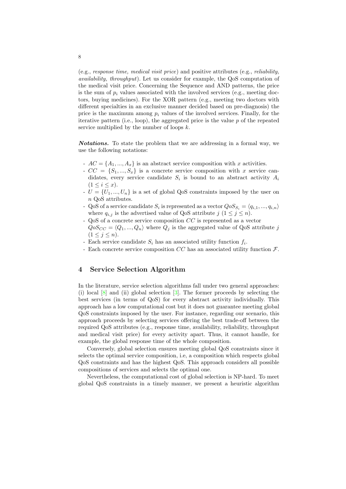(e.g., response time, medical visit price) and positive attributes (e.g., reliability, availability, throughput). Let us consider for example, the QoS computation of the medical visit price. Concerning the Sequence and AND patterns, the price is the sum of  $p_i$  values associated with the involved services (e.g., meeting doctors, buying medicines). For the XOR pattern (e.g., meeting two doctors with different specialties in an exclusive manner decided based on pre-diagnosis) the price is the maximum among  $p_i$  values of the involved services. Finally, for the iterative pattern (i.e., loop), the aggregated price is the value  $p$  of the repeated service multiplied by the number of loops  $k$ .

Notations. To state the problem that we are addressing in a formal way, we use the following notations:

- $AC = \{A_1, ..., A_x\}$  is an abstract service composition with x activities.
- $CC = \{S_1, ..., S_x\}$  is a concrete service composition with x service candidates, every service candidate  $S_i$  is bound to an abstract activity  $A_i$  $(1 \leq i \leq x).$
- $-U = \{U_1, ..., U_n\}$  is a set of global QoS constraints imposed by the user on n QoS attributes.
- QoS of a service candidate  $S_i$  is represented as a vector  $QoS_{S_i} = \langle q_{i,1}, ..., q_{i,n} \rangle$ where  $q_{i,j}$  is the advertised value of QoS attribute  $j$   $(1 \leq j \leq n)$ .
- QoS of a concrete service composition CC is represented as a vector  $Q \circ S_{CC} = \langle Q_1, ..., Q_n \rangle$  where  $Q_j$  is the aggregated value of QoS attribute j  $(1 \leq j \leq n).$
- Each service candidate  $S_i$  has an associated utility function  $f_i$ .
- Each concrete service composition  $CC$  has an associated utility function  $\mathcal{F}$ .

## 4 Service Selection Algorithm

In the literature, service selection algorithms fall under two general approaches: (i) local [8] and (ii) global selection [3]. The former proceeds by selecting the best services (in terms of QoS) for every abstract activity individually. This approach has a low computational cost but it does not guarantee meeting global QoS constraints imposed by the user. For instance, regarding our scenario, this approach proceeds by selecting services offering the best trade-off between the required QoS attributes (e.g., response time, availability, reliability, throughput and medical visit price) for every activity apart. Thus, it cannot handle, for example, the global response time of the whole composition.

Conversely, global selection ensures meeting global QoS constraints since it selects the optimal service composition, i.e, a composition which respects global QoS constraints and has the highest QoS. This approach considers all possible compositions of services and selects the optimal one.

Nevertheless, the computational cost of global selection is NP-hard. To meet global QoS constraints in a timely manner, we present a heuristic algorithm

8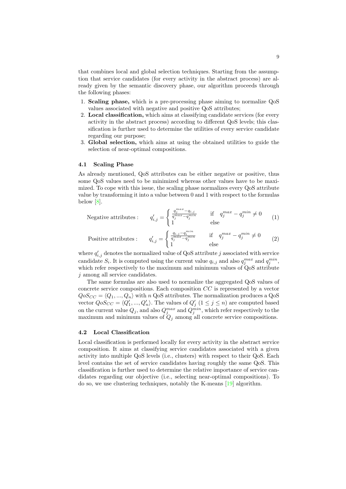that combines local and global selection techniques. Starting from the assumption that service candidates (for every activity in the abstract process) are already given by the semantic discovery phase, our algorithm proceeds through the following phases:

- 1. Scaling phase, which is a pre-processing phase aiming to normalize QoS values associated with negative and positive QoS attributes;
- 2. Local classification, which aims at classifying candidate services (for every activity in the abstract process) according to different QoS levels; this classification is further used to determine the utilities of every service candidate regarding our purpose;
- 3. Global selection, which aims at using the obtained utilities to guide the selection of near-optimal compositions.

#### 4.1 Scaling Phase

As already mentioned, QoS attributes can be either negative or positive, thus some QoS values need to be minimized whereas other values have to be maximized. To cope with this issue, the scaling phase normalizes every QoS attribute value by transforming it into a value between 0 and 1 with respect to the formulas below [8].

Negative attributes : 
$$
q'_{i,j} = \begin{cases} \frac{q_j^{max} - q_{i,j}}{q_j^{max} - q_j^{min}} & \text{if } q_j^{max} - q_j^{min} \neq 0\\ 1 & \text{else} \end{cases}
$$
 (1)

Positive attributes : 
$$
q'_{i,j} = \begin{cases} \frac{q_{i,j} - q_i^{min}}{q_j^{max} - q_j^{min}} & \text{if } q_j^{max} - q_j^{min} \neq 0\\ 1 & \text{else} \end{cases}
$$
 (2)

where  $q'_{i,j}$  denotes the normalized value of QoS attribute j associated with service candidate  $S_i$ . It is computed using the current value  $q_{i,j}$  and also  $q_j^{max}$  and  $q_j^{min}$ , which refer respectively to the maximum and minimum values of QoS attribute j among all service candidates.

The same formulas are also used to normalize the aggregated QoS values of concrete service compositions. Each composition CC is represented by a vector  $Q \circ S_{CC} = \langle Q_1, ..., Q_n \rangle$  with n QoS attributes. The normalization produces a QoS vector  $Q \circ S_{CC} = \langle Q'_1, ..., Q'_n \rangle$ . The values of  $Q'_j$   $(1 \leq j \leq n)$  are computed based on the current value  $Q_j$ , and also  $Q_j^{max}$  and  $Q_j^{min}$ , which refer respectively to the maximum and minimum values of  $Q_j$  among all concrete service compositions.

#### 4.2 Local Classification

Local classification is performed locally for every activity in the abstract service composition. It aims at classifying service candidates associated with a given activity into multiple QoS levels (i.e., clusters) with respect to their QoS. Each level contains the set of service candidates having roughly the same QoS. This classification is further used to determine the relative importance of service candidates regarding our objective (i.e., selecting near-optimal compositions). To do so, we use clustering techniques, notably the K-means [19] algorithm.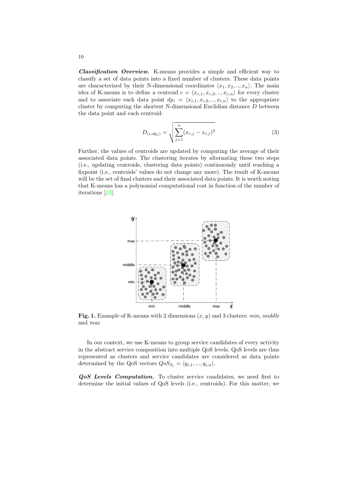Classification Overview. K-means provides a simple and efficient way to classify a set of data points into a fixed number of clusters. These data points are characterized by their N-dimensional coordinates  $\langle x_1, x_2, ..., x_n \rangle$ . The main idea of K-means is to define a centroid  $c = \langle x_{c,1}, x_{c,2}, \ldots, x_{c,n} \rangle$  for every cluster and to associate each data point  $dp_i = \langle x_{i,1}, x_{i,2}, \ldots, x_{i,n} \rangle$  to the appropriate cluster by computing the shortest N-dimensional Euclidian distance D between the data point and each centroid:

$$
D_{(c,dp_i)} = \sqrt{\sum_{j=1}^{n} (x_{c,j} - x_{i,j})^2}
$$
 (3)

Further, the values of centroids are updated by computing the average of their associated data points. The clustering iterates by alternating these two steps (i.e., updating centroids, clustering data points) continuously until reaching a fixpoint (i.e., centroids' values do not change any more). The result of K-means will be the set of final clusters and their associated data points. It is worth noting that K-means has a polynomial computational cost in function of the number of iterations [23].



Fig. 1. Example of K-means with 2 dimensions  $(x, y)$  and 3 clusters: min, middle and max

In our context, we use K-means to group service candidates of every activity in the abstract service composition into multiple QoS levels. QoS levels are thus represented as clusters and service candidates are considered as data points determined by the QoS vectors  $Q \circ S_{S_i} = \langle q_{i,1}, ..., q_{i,n} \rangle$ .

QoS Levels Computation. To cluster service candidates, we need first to determine the initial values of QoS levels (i.e., centroids). For this matter, we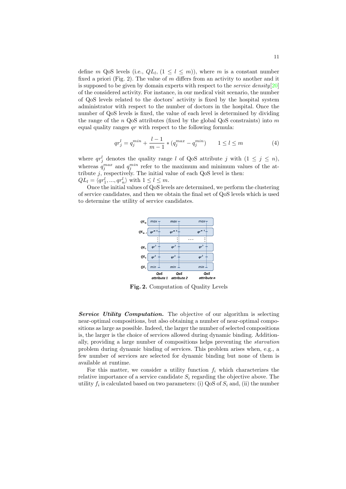define m QoS levels (i.e.,  $QL_l$ ,  $(1 \leq l \leq m)$ ), where m is a constant number fixed a priori (Fig. 2). The value of  $m$  differs from an activity to another and it is supposed to be given by domain experts with respect to the service density[20] of the considered activity. For instance, in our medical visit scenario, the number of QoS levels related to the doctors' activity is fixed by the hospital system administrator with respect to the number of doctors in the hospital. Once the number of QoS levels is fixed, the value of each level is determined by dividing the range of the n  $\cos$  attributes (fixed by the global QoS constraints) into m equal quality ranges  $qr$  with respect to the following formula:

$$
qr_j^l = q_j^{min} + \frac{l-1}{m-1} * (q_j^{max} - q_j^{min}) \qquad 1 \le l \le m \tag{4}
$$

where  $qr_j^l$  denotes the quality range l of QoS attribute j with  $(1 \leq j \leq n)$ , whereas  $q_j^{max}$  and  $q_j^{min}$  refer to the maximum and minimum values of the attribute  $j$ , respectively. The initial value of each QoS level is then:  $QL_l = \langle qr_1^l, ..., qr_n^l \rangle$  with  $1 \leq l \leq m$ .

Once the initial values of QoS levels are determined, we perform the clustering of service candidates, and then we obtain the final set of QoS levels which is used to determine the utility of service candidates.



Fig. 2. Computation of Quality Levels

Service Utility Computation. The objective of our algorithm is selecting near-optimal compositions, but also obtaining a number of near-optimal compositions as large as possible. Indeed, the larger the number of selected compositions is, the larger is the choice of services allowed during dynamic binding. Additionally, providing a large number of compositions helps preventing the starvation problem during dynamic binding of services. This problem arises when, e.g., a few number of services are selected for dynamic binding but none of them is available at runtime.

For this matter, we consider a utility function  $f_i$  which characterizes the relative importance of a service candidate  $S_i$  regarding the objective above. The utility  $f_i$  is calculated based on two parameters: (i) QoS of  $S_i$  and, (ii) the number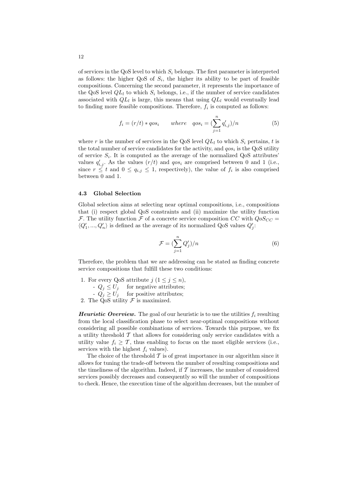of services in the QoS level to which  $S_i$  belongs. The first parameter is interpreted as follows: the higher  $Q$ oS of  $S_i$ , the higher its ability to be part of feasible compositions. Concerning the second parameter, it represents the importance of the QoS level  $QL_1$  to which  $S_i$  belongs, i.e., if the number of service candidates associated with  $QL_l$  is large, this means that using  $QL_l$  would eventually lead to finding more feasible compositions. Therefore,  $f_i$  is computed as follows:

$$
f_i = (r/t) * qos_i \qquad \text{where} \quad qos_i = \left(\sum_{j=1}^n q'_{i,j}\right)/n \tag{5}
$$

where r is the number of services in the QoS level  $QL_1$  to which  $S_i$  pertains, t is the total number of service candidates for the activity, and  $q\sigma s_i$  is the QoS utility of service  $S_i$ . It is computed as the average of the normalized QoS attributes' values  $q'_{i,j}$ . As the values  $(r/t)$  and  $qos_i$  are comprised between 0 and 1 (i.e., since  $r \leq t$  and  $0 \leq q_{i,j} \leq 1$ , respectively), the value of  $f_i$  is also comprised between 0 and 1.

#### 4.3 Global Selection

Global selection aims at selecting near optimal compositions, i.e., compositions that (i) respect global QoS constraints and (ii) maximize the utility function  $F$ . The utility function  $F$  of a concrete service composition  $CC$  with  $QoS_{CC} =$  $\langle Q'_1, ..., Q'_n \rangle$  is defined as the average of its normalized QoS values  $Q'_j$ :

$$
\mathcal{F} = \left(\sum_{j=1}^{n} Q_j'\right) / n \tag{6}
$$

Therefore, the problem that we are addressing can be stated as finding concrete service compositions that fulfill these two conditions:

1. For every QoS attribute  $j$   $(1 \leq j \leq n)$ ,

-  $Q_j \leq U_j$  for negative attributes;

- $Q_j \ge U_j$  for positive attributes;
- 2. The QoS utility  $\mathcal F$  is maximized.

**Heuristic Overview.** The goal of our heuristic is to use the utilities  $f_i$  resulting from the local classification phase to select near-optimal compositions without considering all possible combinations of services. Towards this purpose, we fix a utility threshold  $\mathcal T$  that allows for considering only service candidates with a utility value  $f_i \geq \mathcal{T}$ , thus enabling to focus on the most eligible services (i.e., services with the highest  $f_i$  values).

The choice of the threshold  $\mathcal T$  is of great importance in our algorithm since it allows for tuning the trade-off between the number of resulting compositions and the timeliness of the algorithm. Indeed, if  $\mathcal T$  increases, the number of considered services possibly decreases and consequently so will the number of compositions to check. Hence, the execution time of the algorithm decreases, but the number of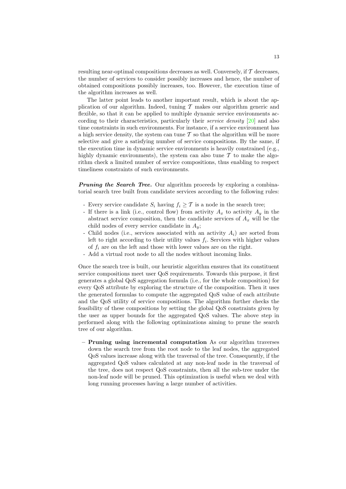resulting near-optimal compositions decreases as well. Conversely, if T decreases, the number of services to consider possibly increases and hence, the number of obtained compositions possibly increases, too. However, the execution time of the algorithm increases as well.

The latter point leads to another important result, which is about the application of our algorithm. Indeed, tuning  $\mathcal T$  makes our algorithm generic and flexible, so that it can be applied to multiple dynamic service environments according to their characteristics, particularly their service density [20] and also time constraints in such environments. For instance, if a service environment has a high service density, the system can tune  $\mathcal T$  so that the algorithm will be more selective and give a satisfying number of service compositions. By the same, if the execution time in dynamic service environments is heavily constrained (e.g., highly dynamic environments), the system can also tune  $\mathcal T$  to make the algorithm check a limited number of service compositions, thus enabling to respect timeliness constraints of such environments.

**Pruning the Search Tree.** Our algorithm proceeds by exploring a combinatorial search tree built from candidate services according to the following rules:

- Every service candidate  $S_i$  having  $f_i \geq \mathcal{T}$  is a node in the search tree;
- If there is a link (i.e., control flow) from activity  $A_x$  to activity  $A_y$  in the abstract service composition, then the candidate services of  $A_x$  will be the child nodes of every service candidate in  $A_u$ ;
- Child nodes (i.e., services associated with an activity  $A_i$ ) are sorted from left to right according to their utility values  $f_i$ . Services with higher values of  $f_i$  are on the left and those with lower values are on the right.
- Add a virtual root node to all the nodes without incoming links.

Once the search tree is built, our heuristic algorithm ensures that its constituent service compositions meet user QoS requirements. Towards this purpose, it first generates a global QoS aggregation formula (i.e., for the whole composition) for every QoS attribute by exploring the structure of the composition. Then it uses the generated formulas to compute the aggregated QoS value of each attribute and the QoS utility of service compositions. The algorithm further checks the feasibility of these compositions by setting the global QoS constraints given by the user as upper bounds for the aggregated QoS values. The above step in performed along with the following optimizations aiming to prune the search tree of our algorithm.

– Pruning using incremental computation As our algorithm traverses down the search tree from the root node to the leaf nodes, the aggregated QoS values increase along with the traversal of the tree. Consequently, if the aggregated QoS values calculated at any non-leaf node in the traversal of the tree, does not respect QoS constraints, then all the sub-tree under the non-leaf node will be pruned. This optimization is useful when we deal with long running processes having a large number of activities.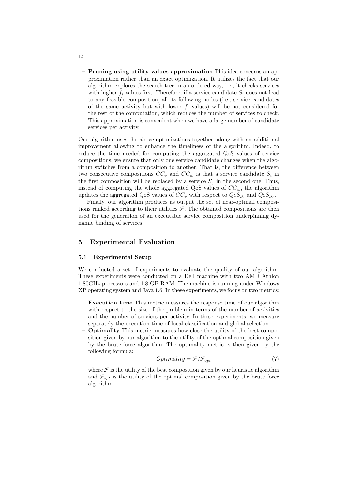– Pruning using utility values approximation This idea concerns an approximation rather than an exact optimization. It utilizes the fact that our algorithm explores the search tree in an ordered way, i.e., it checks services with higher  $f_i$  values first. Therefore, if a service candidate  $S_i$  does not lead to any feasible composition, all its following nodes (i.e., service candidates of the same activity but with lower  $f_i$  values) will be not considered for the rest of the computation, which reduces the number of services to check. This approximation is convenient when we have a large number of candidate services per activity.

Our algorithm uses the above optimizations together, along with an additional improvement allowing to enhance the timeliness of the algorithm. Indeed, to reduce the time needed for computing the aggregated QoS values of service compositions, we ensure that only one service candidate changes when the algorithm switches from a composition to another. That is, the difference between two consecutive compositions  $CC_v$  and  $CC_w$  is that a service candidate  $S_i$  in the first composition will be replaced by a service  $S_i$  in the second one. Thus, instead of computing the whole aggregated  $QoS$  values of  $CC<sub>w</sub>$ , the algorithm updates the aggregated QoS values of  $CC_v$  with respect to  $QoS_{S_i}$  and  $QoS_{S_j}$ .

Finally, our algorithm produces as output the set of near-optimal compositions ranked according to their utilities  $F$ . The obtained compositions are then used for the generation of an executable service composition underpinning dynamic binding of services.

## 5 Experimental Evaluation

#### 5.1 Experimental Setup

We conducted a set of experiments to evaluate the quality of our algorithm. These experiments were conducted on a Dell machine with two AMD Athlon 1.80GHz processors and 1.8 GB RAM. The machine is running under Windows XP operating system and Java 1.6. In these experiments, we focus on two metrics:

- Execution time This metric measures the response time of our algorithm with respect to the size of the problem in terms of the number of activities and the number of services per activity. In these experiments, we measure separately the execution time of local classification and global selection.
- Optimality This metric measures how close the utility of the best composition given by our algorithm to the utility of the optimal composition given by the brute-force algorithm. The optimality metric is then given by the following formula:

$$
Optimality = \mathcal{F}/\mathcal{F}_{opt} \tag{7}
$$

where  $\mathcal F$  is the utility of the best composition given by our heuristic algorithm and  $\mathcal{F}_{opt}$  is the utility of the optimal composition given by the brute force algorithm.

14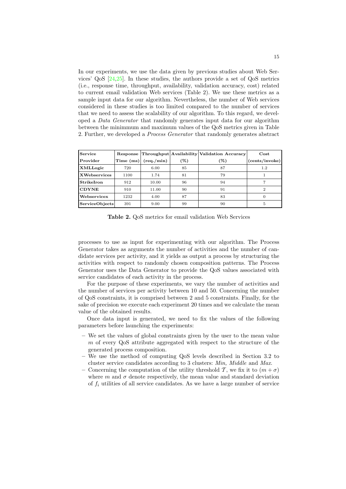In our experiments, we use the data given by previous studies about Web Services' QoS [24,25]. In these studies, the authors provide a set of QoS metrics (i.e., response time, throughput, availability, validation accuracy, cost) related to current email validation Web services (Table 2). We use these metrics as a sample input data for our algorithm. Nevertheless, the number of Web services considered in these studies is too limited compared to the number of services that we need to assess the scalability of our algorithm. To this regard, we developed a Data Generator that randomly generates input data for our algorithm between the minimmum and maximum values of the QoS metrics given in Table 2. Further, we developed a Process Generator that randomly generates abstract

| Service             |           |                            |        | Response Throughput Availability Validation Accuracy | $\cos t$       |
|---------------------|-----------|----------------------------|--------|------------------------------------------------------|----------------|
| Provider            | Time (ms) | $(\text{req.}/\text{min})$ | $(\%)$ | $(\%)$                                               | (cents/invoke) |
| XMLLogic            | 720       | 6.00                       | 85     | 87                                                   | 1.2            |
| <b>XWebservices</b> | 1100      | 1.74                       | 81     | 79                                                   |                |
| <b>StrikeIron</b>   | 912       | 10.00                      | 96     | 94                                                   |                |
| <b>CDYNE</b>        | 910       | 11.00                      | 90     | 91                                                   | 2              |
| Webservicex         | 1232      | 4.00                       | 87     | 83                                                   | 0              |
| ServiceObjects      | 391       | 9.00                       | 99     | 90                                                   | 5              |

Table 2. QoS metrics for email validation Web Services

processes to use as input for experimenting with our algorithm. The Process Generator takes as arguments the number of activities and the number of candidate services per activity, and it yields as output a process by structuring the activities with respect to randomly chosen composition patterns. The Process Generator uses the Data Generator to provide the QoS values associated with service candidates of each activity in the process.

For the purpose of these experiments, we vary the number of activities and the number of services per activity between 10 and 50. Concerning the number of QoS constraints, it is comprised between 2 and 5 constraints. Finally, for the sake of precision we execute each experiment 20 times and we calculate the mean value of the obtained results.

Once data input is generated, we need to fix the values of the following parameters before launching the experiments:

- We set the values of global constraints given by the user to the mean value m of every QoS attribute aggregated with respect to the structure of the generated process composition.
- We use the method of computing QoS levels described in Section 3.2 to cluster service candidates according to 3 clusters: Min, Middle and Max.
- Concerning the computation of the utility threshold T, we fix it to  $(m + \sigma)$ where  $m$  and  $\sigma$  denote respectively, the mean value and standard deviation of  $f_i$  utilities of all service candidates. As we have a large number of service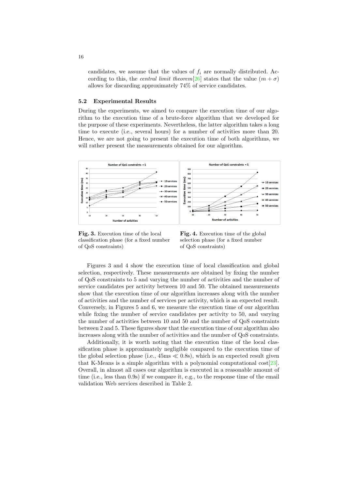candidates, we assume that the values of  $f_i$  are normally distributed. According to this, the *central limit theorem*[26] states that the value  $(m + \sigma)$ allows for discarding approximately 74% of service candidates.

#### 5.2 Experimental Results

During the experiments, we aimed to compare the execution time of our algorithm to the execution time of a brute-force algorithm that we developed for the purpose of these experiments. Nevertheless, the latter algorithm takes a long time to execute (i.e., several hours) for a number of activities more than 20. Hence, we are not going to present the execution time of both algorithms, we will rather present the measurements obtained for our algorithm.



Fig. 3. Execution time of the local classification phase (for a fixed number of QoS constraints)

Fig. 4. Execution time of the global selection phase (for a fixed number of QoS constraints)

Figures 3 and 4 show the execution time of local classification and global selection, respectively. These measurements are obtained by fixing the number of QoS constraints to 5 and varying the number of activities and the number of service candidates per activity between 10 and 50. The obtained measurements show that the execution time of our algorithm increases along with the number of activities and the number of services per activity, which is an expected result. Conversely, in Figures 5 and 6, we measure the execution time of our algorithm while fixing the number of service candidates per activity to 50, and varying the number of activities between 10 and 50 and the number of QoS constraints between 2 and 5. These figures show that the execution time of our algorithm also increases along with the number of activities and the number of QoS constraints.

Additionally, it is worth noting that the execution time of the local classification phase is approximately negligible compared to the execution time of the global selection phase (i.e.,  $45 \text{ms} \ll 0.8 \text{s}$ ), which is an expected result given that K-Means is a simple algorithm with a polynomial computational cost[23]. Overall, in almost all cases our algorithm is executed in a reasonable amount of time (i.e., less than 0.9s) if we compare it, e.g., to the response time of the email validation Web services described in Table 2.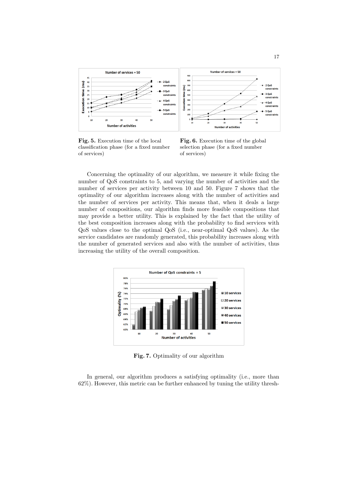

Fig. 5. Execution time of the local classification phase (for a fixed number of services)

Fig. 6. Execution time of the global selection phase (for a fixed number of services)

Concerning the optimality of our algorithm, we measure it while fixing the number of QoS constraints to 5, and varying the number of activities and the number of services per activity between 10 and 50. Figure 7 shows that the optimality of our algorithm increases along with the number of activities and the number of services per activity. This means that, when it deals a large number of compositions, our algorithm finds more feasible compositions that may provide a better utility. This is explained by the fact that the utility of the best composition increases along with the probability to find services with QoS values close to the optimal QoS (i.e., near-optimal QoS values). As the service candidates are randomly generated, this probability increases along with the number of generated services and also with the number of activities, thus increasing the utility of the overall composition.



Fig. 7. Optimality of our algorithm

In general, our algorithm produces a satisfying optimality (i.e., more than 62%). However, this metric can be further enhanced by tuning the utility thresh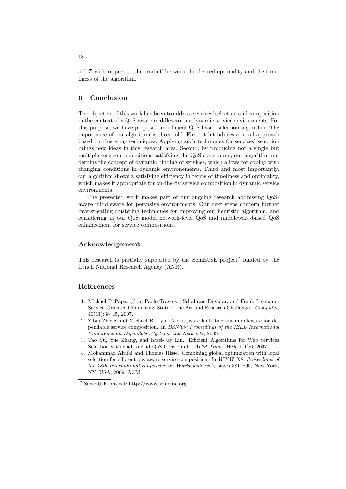old  $\mathcal T$  with respect to the trad-off between the desired optimality and the timeliness of the algorithm.

## 6 Conclusion

The objective of this work has been to address services' selection and composition in the context of a QoS-aware middleware for dynamic service environments. For this purpose, we have proposed an efficient QoS-based selection algorithm. The importance of our algorithm is three-fold. First, it introduces a novel approach based on clustering techniques. Applying such techniques for services' selection brings new ideas in this research area. Second, by producing not a single but multiple service compositions satisfying the QoS constraints, our algorithm underpins the concept of dynamic binding of services, which allows for coping with changing conditions in dynamic environements. Third and most importantly, our algorithm shows a satisfying efficiency in terms of timeliness and optimality, which makes it appropriate for on-the-fly service composition in dynamic service environments.

The presented work makes part of our ongoing research addressing QoSaware middleware for pervasive environments. Our next steps concern further inverstigating clustering techniques for improving our heuristic algorithm, and considering in our QoS model network-level QoS and middleware-based QoS enhancement for service compositions.

## Acknowledgement

This research is partially supported by the  $SemEUsE$  project<sup>2</sup> funded by the french National Research Agency (ANR).

## References

- 1. Michael P. Papazoglou, Paolo Traverso, Schahram Dustdar, and Frank Leymann. Service-Oriented Computing: State of the Art and Research Challenges. Computer, 40(11):38–45, 2007.
- 2. Zibin Zheng and Michael R. Lyu. A qos-aware fault tolerant middleware for dependable service composition. In DSN'09: Proceedings of the IEEE International Conference on Dependable Systems and Networks, 2009.
- 3. Tao Yu, Yue Zhang, and Kwei-Jay Lin. Efficient Algorithms for Web Services Selection with End-to-End QoS Constraints. ACM Trans. Web, 1(1):6, 2007.
- 4. Mohammad Alrifai and Thomas Risse. Combining global optimization with local selection for efficient qos-aware service composition. In WWW '09: Proceedings of the 18th international conference on World wide web, pages 881–890, New York, NY, USA, 2009. ACM.

<sup>2</sup> SemEUsE project: http://www.semeuse.org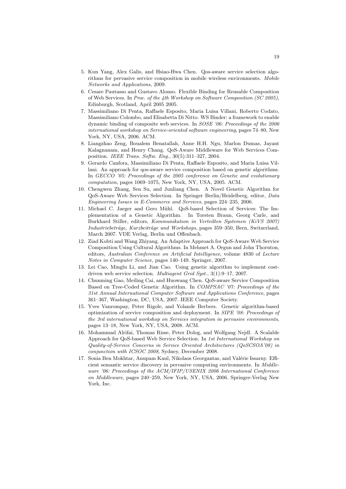- 5. Kun Yang, Alex Galis, and Hsiao-Hwa Chen. Qos-aware service selection algorithms for pervasive service composition in mobile wireless environments. Mobile Networks and Applications, 2009.
- 6. Cesare Pautasso and Gustavo Alonso. Flexible Binding for Reusable Composition of Web Services. In Proc. of the 4th Workshop on Software Composition (SC 2005), Edinburgh, Scotland, April 2005 2005.
- 7. Massimiliano Di Penta, Raffaele Esposito, Maria Luisa Villani, Roberto Codato, Massimiliano Colombo, and Elisabetta Di Nitto. WS Binder: a framework to enable dynamic binding of composite web services. In SOSE '06: Proceedings of the 2006 international workshop on Service-oriented software engineering, pages 74–80, New York, NY, USA, 2006. ACM.
- 8. Liangzhao Zeng, Boualem Benatallah, Anne H.H. Ngu, Marlon Dumas, Jayant Kalagnanam, and Henry Chang. QoS-Aware Middleware for Web Services Composition. IEEE Trans. Softw. Eng., 30(5):311–327, 2004.
- 9. Gerardo Canfora, Massimiliano Di Penta, Raffaele Esposito, and Maria Luisa Villani. An approach for qos-aware service composition based on genetic algorithms. In GECCO '05: Proceedings of the 2005 conference on Genetic and evolutionary computation, pages 1069–1075, New York, NY, USA, 2005. ACM.
- 10. Chengwen Zhang, Sen Su, and Junliang Chen. A Novel Genetic Algorithm for QoS-Aware Web Services Selection. In Springer Berlin/Heidelberg, editor, Data Engineering Issues in E-Commerce and Services, pages 224–235, 2006.
- 11. Michael C. Jaeger and Gero Mühl. QoS-based Selection of Services: The Implementation of a Genetic Algorithm. In Torsten Braun, Georg Carle, and Burkhard Stiller, editors, Kommunikation in Verteilten Systemen (KiVS 2007) Industriebeträge, Kurzbeiträge und Workshops, pages 359–350, Bern, Switzerland, March 2007. VDE Verlag, Berlin und Offenbach.
- 12. Ziad Kobti and Wang Zhiyang. An Adaptive Approach for QoS-Aware Web Service Composition Using Cultural Algorithms. In Mehmet A. Orgun and John Thornton, editors, Australian Conference on Artificial Intelligence, volume 4830 of Lecture Notes in Computer Science, pages 140–149. Springer, 2007.
- 13. Lei Cao, Minglu Li, and Jian Cao. Using genetic algorithm to implement costdriven web service selection. Multiagent Grid Syst., 3(1):9–17, 2007.
- 14. Chunming Gao, Meiling Cai, and Huowang Chen. QoS-aware Service Composition Based on Tree-Coded Genetic Algorithm. In COMPSAC '07: Proceedings of the 31st Annual International Computer Software and Applications Conference, pages 361–367, Washington, DC, USA, 2007. IEEE Computer Society.
- 15. Yves Vanrompay, Peter Rigole, and Yolande Berbers. Genetic algorithm-based optimization of service composition and deployment. In SIPE '08: Proceedings of the 3rd international workshop on Services integration in pervasive environments, pages 13–18, New York, NY, USA, 2008. ACM.
- 16. Mohammad Alrifai, Thomas Risse, Peter Dolog, and Wolfgang Nejdl. A Scalable Approach for QoS-based Web Service Selection. In 1st International Workshop on Quality-of-Service Concerns in Service Oriented Architectures (QoSCSOA'08) in conjunction with ICSOC 2008, Sydney, December 2008.
- 17. Sonia Ben Mokhtar, Anupam Kaul, Nikolaos Georgantas, and Valérie Issarny. Efficient semantic service discovery in pervasive computing environments. In Middleware '06: Proceedings of the ACM/IFIP/USENIX 2006 International Conference on Middleware, pages 240–259, New York, NY, USA, 2006. Springer-Verlag New York, Inc.